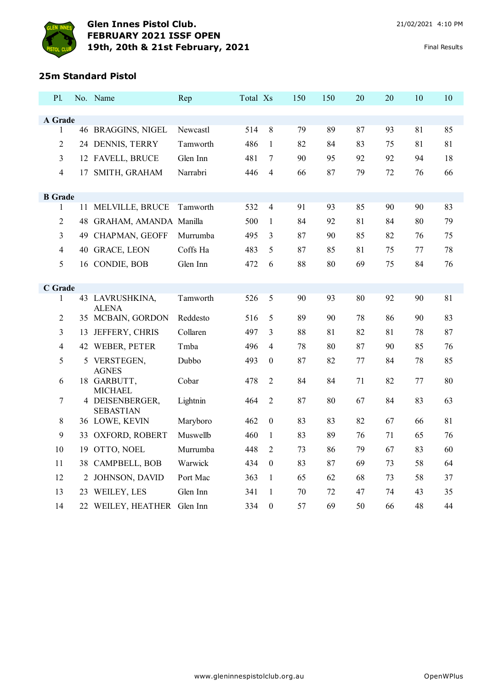

## **25m Standard Pistol**

| Pl.                 |    | No. Name                          | Rep      | Total Xs |                  | 150 | 150 | 20 | 20 | 10 | 10 |
|---------------------|----|-----------------------------------|----------|----------|------------------|-----|-----|----|----|----|----|
|                     |    |                                   |          |          |                  |     |     |    |    |    |    |
| A Grade<br>1        |    | 46 BRAGGINS, NIGEL                | Newcastl | 514      | 8                | 79  | 89  | 87 | 93 | 81 | 85 |
|                     |    |                                   |          |          |                  |     |     |    |    |    |    |
| $\overline{c}$      |    | 24 DENNIS, TERRY                  | Tamworth | 486      | $\mathbf{1}$     | 82  | 84  | 83 | 75 | 81 | 81 |
| 3                   |    | 12 FAVELL, BRUCE                  | Glen Inn | 481      | $\overline{7}$   | 90  | 95  | 92 | 92 | 94 | 18 |
| $\overline{4}$      | 17 | SMITH, GRAHAM                     | Narrabri | 446      | $\overline{4}$   | 66  | 87  | 79 | 72 | 76 | 66 |
|                     |    |                                   |          |          |                  |     |     |    |    |    |    |
| <b>B</b> Grade<br>1 |    | 11 MELVILLE, BRUCE                | Tamworth | 532      | $\overline{4}$   | 91  | 93  | 85 | 90 | 90 | 83 |
| 2                   |    | 48 GRAHAM, AMANDA Manilla         |          | 500      | 1                | 84  | 92  | 81 | 84 | 80 | 79 |
| 3                   | 49 | CHAPMAN, GEOFF                    | Murrumba | 495      | $\mathfrak{Z}$   | 87  | 90  | 85 | 82 | 76 | 75 |
| $\overline{4}$      |    | 40 GRACE, LEON                    | Coffs Ha | 483      | 5                | 87  | 85  | 81 | 75 | 77 | 78 |
| 5                   |    |                                   |          |          | 6                |     |     |    |    |    |    |
|                     |    | 16 CONDIE, BOB                    | Glen Inn | 472      |                  | 88  | 80  | 69 | 75 | 84 | 76 |
| C Grade             |    |                                   |          |          |                  |     |     |    |    |    |    |
| 1                   |    | 43 LAVRUSHKINA,                   | Tamworth | 526      | 5                | 90  | 93  | 80 | 92 | 90 | 81 |
| $\overline{c}$      |    | <b>ALENA</b><br>35 MCBAIN, GORDON | Reddesto | 516      | 5                | 89  | 90  | 78 | 86 | 90 | 83 |
| 3                   | 13 | JEFFERY, CHRIS                    | Collaren | 497      | 3                | 88  | 81  | 82 | 81 | 78 | 87 |
| $\overline{4}$      |    | 42 WEBER, PETER                   | Tmba     | 496      | 4                | 78  | 80  | 87 | 90 | 85 | 76 |
| 5                   |    | 5 VERSTEGEN,<br><b>AGNES</b>      | Dubbo    | 493      | $\boldsymbol{0}$ | 87  | 82  | 77 | 84 | 78 | 85 |
| 6                   |    | 18 GARBUTT,                       | Cobar    | 478      | $\overline{2}$   | 84  | 84  | 71 | 82 | 77 | 80 |
| 7                   |    | <b>MICHAEL</b><br>4 DEISENBERGER, | Lightnin | 464      | $\overline{2}$   | 87  | 80  | 67 | 84 | 83 | 63 |
|                     |    | <b>SEBASTIAN</b>                  |          |          |                  |     |     |    |    |    |    |
| 8                   |    | 36 LOWE, KEVIN                    | Maryboro | 462      | $\boldsymbol{0}$ | 83  | 83  | 82 | 67 | 66 | 81 |
| 9                   | 33 | OXFORD, ROBERT                    | Muswellb | 460      | $\mathbf{1}$     | 83  | 89  | 76 | 71 | 65 | 76 |
| 10                  | 19 | OTTO, NOEL                        | Murrumba | 448      | $\overline{2}$   | 73  | 86  | 79 | 67 | 83 | 60 |
| 11                  |    | 38 CAMPBELL, BOB                  | Warwick  | 434      | $\boldsymbol{0}$ | 83  | 87  | 69 | 73 | 58 | 64 |
| 12                  | 2  | <b>JOHNSON, DAVID</b>             | Port Mac | 363      | $\mathbf{1}$     | 65  | 62  | 68 | 73 | 58 | 37 |
| 13                  |    | 23 WEILEY, LES                    | Glen Inn | 341      | 1                | 70  | 72  | 47 | 74 | 43 | 35 |
| 14                  |    | 22 WEILEY, HEATHER Glen Inn       |          | 334      | $\boldsymbol{0}$ | 57  | 69  | 50 | 66 | 48 | 44 |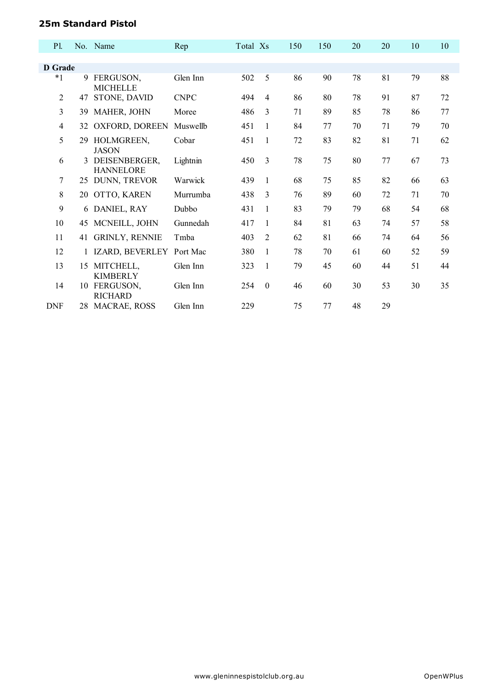## **25m Standard Pistol**

| P1             |    | No. Name                          | Rep         | Total Xs |                | 150 | 150 | 20 | 20 | 10 | 10 |
|----------------|----|-----------------------------------|-------------|----------|----------------|-----|-----|----|----|----|----|
|                |    |                                   |             |          |                |     |     |    |    |    |    |
| D Grade        |    |                                   |             |          |                |     |     |    |    |    |    |
| $*_{1}$        | 9  | FERGUSON,<br><b>MICHELLE</b>      | Glen Inn    | 502      | 5              | 86  | 90  | 78 | 81 | 79 | 88 |
| $\overline{2}$ | 47 | STONE, DAVID                      | <b>CNPC</b> | 494      | $\overline{4}$ | 86  | 80  | 78 | 91 | 87 | 72 |
| 3              | 39 | MAHER, JOHN                       | Moree       | 486      | 3              | 71  | 89  | 85 | 78 | 86 | 77 |
| 4              | 32 | OXFORD, DOREEN                    | Muswellb    | 451      | 1              | 84  | 77  | 70 | 71 | 79 | 70 |
| 5              | 29 | HOLMGREEN,<br><b>JASON</b>        | Cobar       | 451      | $\mathbf{1}$   | 72  | 83  | 82 | 81 | 71 | 62 |
| 6              | 3  | DEISENBERGER,<br><b>HANNELORE</b> | Lightnin    | 450      | $\overline{3}$ | 78  | 75  | 80 | 77 | 67 | 73 |
| 7              | 25 | DUNN, TREVOR                      | Warwick     | 439      | 1              | 68  | 75  | 85 | 82 | 66 | 63 |
| 8              |    | 20 OTTO, KAREN                    | Murrumba    | 438      | 3              | 76  | 89  | 60 | 72 | 71 | 70 |
| 9              | 6  | DANIEL, RAY                       | Dubbo       | 431      | 1              | 83  | 79  | 79 | 68 | 54 | 68 |
| 10             | 45 | MCNEILL, JOHN                     | Gunnedah    | 417      | 1              | 84  | 81  | 63 | 74 | 57 | 58 |
| 11             | 41 | <b>GRINLY, RENNIE</b>             | Tmba        | 403      | 2              | 62  | 81  | 66 | 74 | 64 | 56 |
| 12             |    | IZARD, BEVERLEY                   | Port Mac    | 380      | 1              | 78  | 70  | 61 | 60 | 52 | 59 |
| 13             | 15 | MITCHELL,<br><b>KIMBERLY</b>      | Glen Inn    | 323      | 1              | 79  | 45  | 60 | 44 | 51 | 44 |
| 14             | 10 | FERGUSON,<br><b>RICHARD</b>       | Glen Inn    | 254      | $\theta$       | 46  | 60  | 30 | 53 | 30 | 35 |
| <b>DNF</b>     | 28 | MACRAE, ROSS                      | Glen Inn    | 229      |                | 75  | 77  | 48 | 29 |    |    |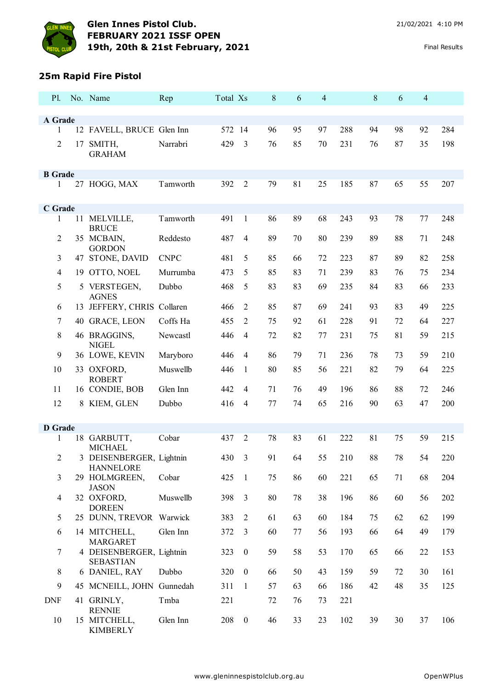

# **25m Rapid Fire Pistol**

| <b>P</b> l.    |    | No. Name                                     | Rep         | Total Xs |                  | 8  | 6  | 4  |     | 8  | 6  | $\overline{4}$ |     |
|----------------|----|----------------------------------------------|-------------|----------|------------------|----|----|----|-----|----|----|----------------|-----|
|                |    |                                              |             |          |                  |    |    |    |     |    |    |                |     |
| A Grade<br>1   |    | 12 FAVELL, BRUCE Glen Inn                    |             | 572 14   |                  | 96 | 95 | 97 | 288 | 94 | 98 | 92             | 284 |
| $\overline{2}$ | 17 | SMITH,                                       | Narrabri    | 429      | 3                | 76 | 85 | 70 | 231 | 76 | 87 | 35             | 198 |
|                |    | <b>GRAHAM</b>                                |             |          |                  |    |    |    |     |    |    |                |     |
| <b>B</b> Grade |    |                                              |             |          |                  |    |    |    |     |    |    |                |     |
| 1              |    | 27 HOGG, MAX                                 | Tamworth    | 392      | $\overline{2}$   | 79 | 81 | 25 | 185 | 87 | 65 | 55             | 207 |
| C Grade        |    |                                              |             |          |                  |    |    |    |     |    |    |                |     |
| 1              |    | 11 MELVILLE,<br><b>BRUCE</b>                 | Tamworth    | 491      | $\mathbf{1}$     | 86 | 89 | 68 | 243 | 93 | 78 | 77             | 248 |
| $\overline{2}$ |    | 35 MCBAIN,<br><b>GORDON</b>                  | Reddesto    | 487      | $\overline{4}$   | 89 | 70 | 80 | 239 | 89 | 88 | 71             | 248 |
| 3              |    | 47 STONE, DAVID                              | <b>CNPC</b> | 481      | 5                | 85 | 66 | 72 | 223 | 87 | 89 | 82             | 258 |
| $\overline{4}$ |    | 19 OTTO, NOEL                                | Murrumba    | 473      | 5                | 85 | 83 | 71 | 239 | 83 | 76 | 75             | 234 |
| 5              |    | 5 VERSTEGEN,<br><b>AGNES</b>                 | Dubbo       | 468      | 5                | 83 | 83 | 69 | 235 | 84 | 83 | 66             | 233 |
| 6              |    | 13 JEFFERY, CHRIS Collaren                   |             | 466      | $\overline{2}$   | 85 | 87 | 69 | 241 | 93 | 83 | 49             | 225 |
| 7              |    | 40 GRACE, LEON                               | Coffs Ha    | 455      | $\overline{2}$   | 75 | 92 | 61 | 228 | 91 | 72 | 64             | 227 |
| $\,8\,$        |    | 46 BRAGGINS,<br><b>NIGEL</b>                 | Newcastl    | 446      | $\overline{4}$   | 72 | 82 | 77 | 231 | 75 | 81 | 59             | 215 |
| $\mathbf{9}$   |    | 36 LOWE, KEVIN                               | Maryboro    | 446      | $\overline{4}$   | 86 | 79 | 71 | 236 | 78 | 73 | 59             | 210 |
| 10             |    | 33 OXFORD,<br><b>ROBERT</b>                  | Muswellb    | 446      | 1                | 80 | 85 | 56 | 221 | 82 | 79 | 64             | 225 |
| 11             |    | 16 CONDIE, BOB                               | Glen Inn    | 442      | $\overline{4}$   | 71 | 76 | 49 | 196 | 86 | 88 | 72             | 246 |
| 12             |    | 8 KIEM, GLEN                                 | Dubbo       | 416      | $\overline{4}$   | 77 | 74 | 65 | 216 | 90 | 63 | 47             | 200 |
| <b>D</b> Grade |    |                                              |             |          |                  |    |    |    |     |    |    |                |     |
| 1              |    | 18 GARBUTT,<br><b>MICHAEL</b>                | Cobar       | 437      | $\overline{2}$   | 78 | 83 | 61 | 222 | 81 | 75 | 59             | 215 |
| 2              |    | 3 DEISENBERGER, Lightnin<br><b>HANNELORE</b> |             |          | 430 3            | 91 | 64 | 55 | 210 | 88 | 78 | 54             | 220 |
| 3              |    | 29 HOLMGREEN,<br><b>JASON</b>                | Cobar       | 425      | $\mathbf{1}$     | 75 | 86 | 60 | 221 | 65 | 71 | 68             | 204 |
| $\overline{4}$ |    | 32 OXFORD,<br><b>DOREEN</b>                  | Muswellb    | 398      | 3                | 80 | 78 | 38 | 196 | 86 | 60 | 56             | 202 |
| 5              |    | 25 DUNN, TREVOR Warwick                      |             | 383      | $\overline{2}$   | 61 | 63 | 60 | 184 | 75 | 62 | 62             | 199 |
| 6              |    | 14 MITCHELL,<br><b>MARGARET</b>              | Glen Inn    | 372      | 3                | 60 | 77 | 56 | 193 | 66 | 64 | 49             | 179 |
| $\overline{7}$ |    | 4 DEISENBERGER, Lightnin<br><b>SEBASTIAN</b> |             | 323      | $\boldsymbol{0}$ | 59 | 58 | 53 | 170 | 65 | 66 | 22             | 153 |
| 8              |    | 6 DANIEL, RAY                                | Dubbo       | 320      | $\boldsymbol{0}$ | 66 | 50 | 43 | 159 | 59 | 72 | 30             | 161 |
| 9              |    | 45 MCNEILL, JOHN Gunnedah                    |             | 311      | -1               | 57 | 63 | 66 | 186 | 42 | 48 | 35             | 125 |
| <b>DNF</b>     |    | 41 GRINLY,<br><b>RENNIE</b>                  | Tmba        | 221      |                  | 72 | 76 | 73 | 221 |    |    |                |     |
| 10             |    | 15 MITCHELL,<br><b>KIMBERLY</b>              | Glen Inn    | 208      | $\boldsymbol{0}$ | 46 | 33 | 23 | 102 | 39 | 30 | 37             | 106 |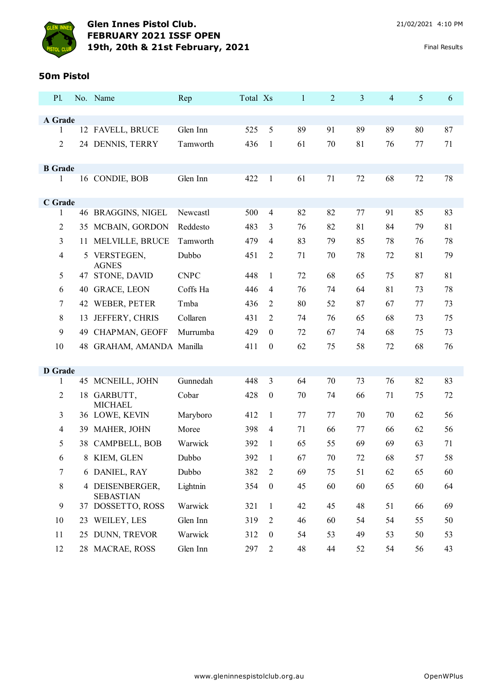

#### **50m Pistol**

| P1.            |     | No. Name                            | Rep         | Total Xs |                  | $\mathbf{1}$ | $\overline{2}$ | 3  | $\overline{4}$ | 5  | 6  |
|----------------|-----|-------------------------------------|-------------|----------|------------------|--------------|----------------|----|----------------|----|----|
|                |     |                                     |             |          |                  |              |                |    |                |    |    |
| A Grade<br>1   |     | 12 FAVELL, BRUCE                    | Glen Inn    | 525      | 5                | 89           | 91             | 89 | 89             | 80 | 87 |
|                |     |                                     |             |          |                  |              |                |    |                |    |    |
| $\overline{2}$ |     | 24 DENNIS, TERRY                    | Tamworth    | 436      | 1                | 61           | 70             | 81 | 76             | 77 | 71 |
| <b>B</b> Grade |     |                                     |             |          |                  |              |                |    |                |    |    |
| 1              |     | 16 CONDIE, BOB                      | Glen Inn    | 422      | $\mathbf{1}$     | 61           | 71             | 72 | 68             | 72 | 78 |
|                |     |                                     |             |          |                  |              |                |    |                |    |    |
| C Grade        |     |                                     |             |          |                  |              |                |    |                |    |    |
| 1              |     | 46 BRAGGINS, NIGEL                  | Newcastl    | 500      | $\overline{4}$   | 82           | 82             | 77 | 91             | 85 | 83 |
| $\overline{2}$ | 35  | MCBAIN, GORDON                      | Reddesto    | 483      | 3                | 76           | 82             | 81 | 84             | 79 | 81 |
| 3              | 11  | MELVILLE, BRUCE                     | Tamworth    | 479      | $\overline{4}$   | 83           | 79             | 85 | 78             | 76 | 78 |
| $\overline{4}$ | 5   | VERSTEGEN,<br><b>AGNES</b>          | Dubbo       | 451      | 2                | 71           | 70             | 78 | 72             | 81 | 79 |
| 5              | 47  | STONE, DAVID                        | <b>CNPC</b> | 448      | 1                | 72           | 68             | 65 | 75             | 87 | 81 |
| 6              |     | 40 GRACE, LEON                      | Coffs Ha    | 446      | $\overline{4}$   | 76           | 74             | 64 | 81             | 73 | 78 |
| 7              |     | 42 WEBER, PETER                     | Tmba        | 436      | 2                | 80           | 52             | 87 | 67             | 77 | 73 |
| 8              | 13  | JEFFERY, CHRIS                      | Collaren    | 431      | 2                | 74           | 76             | 65 | 68             | 73 | 75 |
| 9              | 49  | CHAPMAN, GEOFF                      | Murrumba    | 429      | $\theta$         | 72           | 67             | 74 | 68             | 75 | 73 |
| 10             | 48  | GRAHAM, AMANDA Manilla              |             | 411      | $\boldsymbol{0}$ | 62           | 75             | 58 | 72             | 68 | 76 |
|                |     |                                     |             |          |                  |              |                |    |                |    |    |
| <b>D</b> Grade |     |                                     |             |          |                  |              |                |    |                |    |    |
| 1              |     | 45 MCNEILL, JOHN                    | Gunnedah    | 448      | 3                | 64           | 70             | 73 | 76             | 82 | 83 |
| $\overline{2}$ |     | 18 GARBUTT,<br><b>MICHAEL</b>       | Cobar       | 428      | $\boldsymbol{0}$ | 70           | 74             | 66 | 71             | 75 | 72 |
| 3              |     | 36 LOWE, KEVIN                      | Maryboro    | 412      | 1                | 77           | 77             | 70 | 70             | 62 | 56 |
| 4              | 39. | MAHER, JOHN                         | Moree       | 398      | $\overline{4}$   | 71           | 66             | 77 | 66             | 62 | 56 |
| 5              | 38  | CAMPBELL, BOB                       | Warwick     | 392      | 1                | 65           | 55             | 69 | 69             | 63 | 71 |
| 6              |     | 8 KIEM, GLEN                        | Dubbo       | 392      | $\mathbf{1}$     | 67           | 70             | 72 | 68             | 57 | 58 |
| $\tau$         |     | 6 DANIEL, RAY                       | Dubbo       | 382      | 2                | 69           | 75             | 51 | 62             | 65 | 60 |
| 8              |     | 4 DEISENBERGER,<br><b>SEBASTIAN</b> | Lightnin    | 354      | $\boldsymbol{0}$ | 45           | 60             | 60 | 65             | 60 | 64 |
| 9              | 37  | DOSSETTO, ROSS                      | Warwick     | 321      | $\mathbf{1}$     | 42           | 45             | 48 | 51             | 66 | 69 |
| 10             |     | 23 WEILEY, LES                      | Glen Inn    | 319      | 2                | 46           | 60             | 54 | 54             | 55 | 50 |
| 11             |     | 25 DUNN, TREVOR                     | Warwick     | 312      | $\boldsymbol{0}$ | 54           | 53             | 49 | 53             | 50 | 53 |
| 12             |     | 28 MACRAE, ROSS                     | Glen Inn    | 297      | $\overline{c}$   | 48           | 44             | 52 | 54             | 56 | 43 |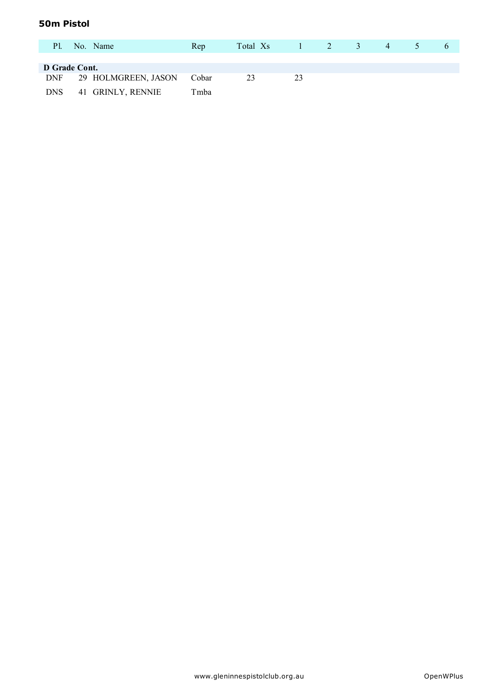### **50m Pistol**

| P1.           | No. Name            | Rep   | Total Xs | $1 \quad 2$ | 3 <sup>7</sup> | 4 | $\Delta$ |  |
|---------------|---------------------|-------|----------|-------------|----------------|---|----------|--|
|               |                     |       |          |             |                |   |          |  |
| D Grade Cont. |                     |       |          |             |                |   |          |  |
| <b>DNF</b>    | 29 HOLMGREEN, JASON | Cobar | 23       | 23          |                |   |          |  |
| <b>DNS</b>    | 41 GRINLY, RENNIE   | Tmba  |          |             |                |   |          |  |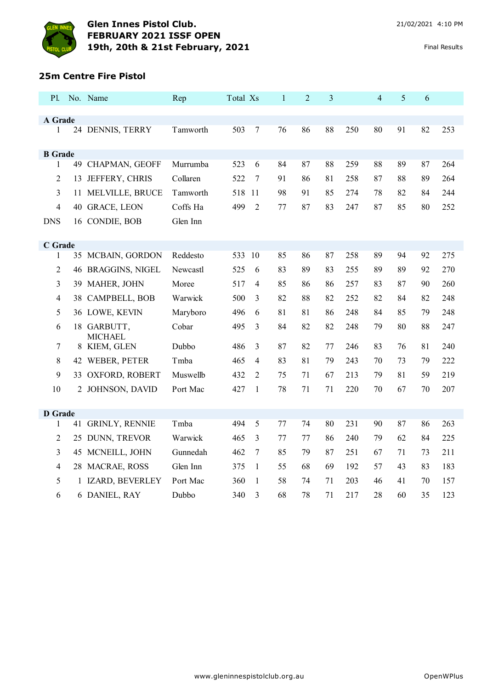

#### **25m Centre Fire Pistol**

| P1.                 |    | No. Name              | Rep      | Total Xs |                | $\mathbf{1}$ | $\overline{2}$ | 3  |     | $\overline{4}$ | 5  | 6  |     |
|---------------------|----|-----------------------|----------|----------|----------------|--------------|----------------|----|-----|----------------|----|----|-----|
|                     |    |                       |          |          |                |              |                |    |     |                |    |    |     |
| A Grade<br>1        |    | 24 DENNIS, TERRY      | Tamworth | 503      | $\tau$         | 76           | 86             | 88 | 250 | 80             | 91 | 82 | 253 |
|                     |    |                       |          |          |                |              |                |    |     |                |    |    |     |
| <b>B</b> Grade      |    |                       |          |          |                |              |                |    |     |                |    |    |     |
| 1                   |    | 49 CHAPMAN, GEOFF     | Murrumba | 523      | 6              | 84           | 87             | 88 | 259 | 88             | 89 | 87 | 264 |
| 2                   |    | 13 JEFFERY, CHRIS     | Collaren | 522      | 7              | 91           | 86             | 81 | 258 | 87             | 88 | 89 | 264 |
| 3                   |    | 11 MELVILLE, BRUCE    | Tamworth | 518      | 11             | 98           | 91             | 85 | 274 | 78             | 82 | 84 | 244 |
| 4                   |    | 40 GRACE, LEON        | Coffs Ha | 499      | $\overline{2}$ | 77           | 87             | 83 | 247 | 87             | 85 | 80 | 252 |
| <b>DNS</b>          |    | 16 CONDIE, BOB        | Glen Inn |          |                |              |                |    |     |                |    |    |     |
|                     |    |                       |          |          |                |              |                |    |     |                |    |    |     |
| C Grade             |    |                       |          |          |                |              |                |    |     |                |    |    |     |
| 1                   |    | 35 MCBAIN, GORDON     | Reddesto | 533 10   |                | 85           | 86             | 87 | 258 | 89             | 94 | 92 | 275 |
| $\sqrt{2}$          |    | 46 BRAGGINS, NIGEL    | Newcastl | 525      | 6              | 83           | 89             | 83 | 255 | 89             | 89 | 92 | 270 |
| 3                   |    | 39 MAHER, JOHN        | Moree    | 517      | $\overline{4}$ | 85           | 86             | 86 | 257 | 83             | 87 | 90 | 260 |
| $\overline{4}$      |    | 38 CAMPBELL, BOB      | Warwick  | 500      | 3              | 82           | 88             | 82 | 252 | 82             | 84 | 82 | 248 |
| 5                   |    | 36 LOWE, KEVIN        | Maryboro | 496      | 6              | 81           | 81             | 86 | 248 | 84             | 85 | 79 | 248 |
| 6                   |    | 18 GARBUTT,           | Cobar    | 495      | 3              | 84           | 82             | 82 | 248 | 79             | 80 | 88 | 247 |
|                     |    | <b>MICHAEL</b>        | Dubbo    | 486      |                | 87           | 82             | 77 | 246 | 83             | 76 | 81 | 240 |
| $\tau$              | 8  | KIEM, GLEN            |          |          | 3              |              |                |    |     |                |    |    |     |
| 8                   |    | 42 WEBER, PETER       | Tmba     | 465      | 4              | 83           | 81             | 79 | 243 | 70             | 73 | 79 | 222 |
| 9                   |    | 33 OXFORD, ROBERT     | Muswellb | 432      | $\overline{2}$ | 75           | 71             | 67 | 213 | 79             | 81 | 59 | 219 |
| 10                  |    | 2 JOHNSON, DAVID      | Port Mac | 427      | $\mathbf{1}$   | 78           | 71             | 71 | 220 | 70             | 67 | 70 | 207 |
|                     |    |                       |          |          |                |              |                |    |     |                |    |    |     |
| <b>D</b> Grade<br>1 | 41 | <b>GRINLY, RENNIE</b> | Tmba     | 494      | 5              | 77           | 74             | 80 | 231 | 90             | 87 | 86 | 263 |
|                     |    |                       |          |          |                |              |                |    |     |                |    |    |     |
| $\overline{2}$      |    | 25 DUNN, TREVOR       | Warwick  | 465      | 3              | 77           | 77             | 86 | 240 | 79             | 62 | 84 | 225 |
| 3                   |    | 45 MCNEILL, JOHN      | Gunnedah | 462      | 7              | 85           | 79             | 87 | 251 | 67             | 71 | 73 | 211 |
| $\overline{4}$      |    | 28 MACRAE, ROSS       | Glen Inn | 375      | $\mathbf{1}$   | 55           | 68             | 69 | 192 | 57             | 43 | 83 | 183 |
| 5                   |    | 1 IZARD, BEVERLEY     | Port Mac | 360      | 1              | 58           | 74             | 71 | 203 | 46             | 41 | 70 | 157 |
| 6                   |    | 6 DANIEL, RAY         | Dubbo    | 340      | 3              | 68           | 78             | 71 | 217 | 28             | 60 | 35 | 123 |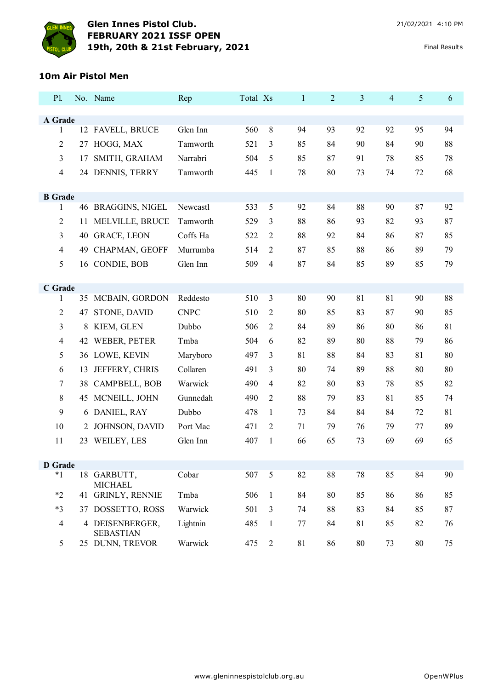

## **10m Air Pistol Men**

| <b>P1.</b>     |    | No. Name                            | Rep         | Total Xs |                | $\mathbf{1}$ | $\overline{2}$ | 3  | $\overline{4}$ | 5  | 6  |
|----------------|----|-------------------------------------|-------------|----------|----------------|--------------|----------------|----|----------------|----|----|
|                |    |                                     |             |          |                |              |                |    |                |    |    |
| A Grade<br>1   |    | 12 FAVELL, BRUCE                    | Glen Inn    | 560      | 8              | 94           | 93             | 92 | 92             | 95 | 94 |
| $\overline{2}$ | 27 | HOGG, MAX                           | Tamworth    | 521      | 3              | 85           | 84             | 90 | 84             | 90 | 88 |
| 3              | 17 | SMITH, GRAHAM                       | Narrabri    | 504      | 5              | 85           | 87             | 91 | 78             | 85 | 78 |
| $\overline{4}$ |    | 24 DENNIS, TERRY                    | Tamworth    | 445      | 1              | 78           | 80             | 73 | 74             | 72 | 68 |
|                |    |                                     |             |          |                |              |                |    |                |    |    |
| <b>B</b> Grade |    |                                     |             |          |                |              |                |    |                |    |    |
| 1              |    | 46 BRAGGINS, NIGEL                  | Newcastl    | 533      | 5              | 92           | 84             | 88 | 90             | 87 | 92 |
| $\overline{2}$ | 11 | MELVILLE, BRUCE                     | Tamworth    | 529      | 3              | 88           | 86             | 93 | 82             | 93 | 87 |
| 3              |    | 40 GRACE, LEON                      | Coffs Ha    | 522      | 2              | 88           | 92             | 84 | 86             | 87 | 85 |
| $\overline{4}$ |    | 49 CHAPMAN, GEOFF                   | Murrumba    | 514      | 2              | 87           | 85             | 88 | 86             | 89 | 79 |
| 5              |    | 16 CONDIE, BOB                      | Glen Inn    | 509      | $\overline{4}$ | 87           | 84             | 85 | 89             | 85 | 79 |
|                |    |                                     |             |          |                |              |                |    |                |    |    |
| C Grade<br>1   |    | 35 MCBAIN, GORDON                   | Reddesto    | 510      | 3              | 80           | 90             | 81 | 81             | 90 | 88 |
| $\overline{2}$ | 47 | STONE, DAVID                        | <b>CNPC</b> | 510      | 2              | 80           | 85             | 83 | 87             | 90 | 85 |
| 3              | 8  | KIEM, GLEN                          | Dubbo       | 506      | 2              | 84           | 89             | 86 | 80             | 86 | 81 |
| $\overline{4}$ | 42 | WEBER, PETER                        | Tmba        | 504      | 6              | 82           | 89             | 80 | 88             | 79 | 86 |
|                |    |                                     |             |          |                |              | 88             |    |                | 81 |    |
| 5              |    | 36 LOWE, KEVIN                      | Maryboro    | 497      | 3              | 81           |                | 84 | 83             |    | 80 |
| 6              | 13 | JEFFERY, CHRIS                      | Collaren    | 491      | 3              | 80           | 74             | 89 | 88             | 80 | 80 |
| 7              | 38 | CAMPBELL, BOB                       | Warwick     | 490      | 4              | 82           | 80             | 83 | 78             | 85 | 82 |
| 8              | 45 | MCNEILL, JOHN                       | Gunnedah    | 490      | $\overline{2}$ | 88           | 79             | 83 | 81             | 85 | 74 |
| 9              | 6  | DANIEL, RAY                         | Dubbo       | 478      | 1              | 73           | 84             | 84 | 84             | 72 | 81 |
| 10             |    | 2 JOHNSON, DAVID                    | Port Mac    | 471      | 2              | 71           | 79             | 76 | 79             | 77 | 89 |
| 11             | 23 | WEILEY, LES                         | Glen Inn    | 407      | $\mathbf{1}$   | 66           | 65             | 73 | 69             | 69 | 65 |
| <b>D</b> Grade |    |                                     |             |          |                |              |                |    |                |    |    |
| $*1$           |    | 18 GARBUTT,                         | Cobar       | 507      | $\mathfrak{S}$ | 82           | 88             | 78 | 85             | 84 | 90 |
|                |    | <b>MICHAEL</b>                      |             |          |                |              |                |    |                |    |    |
| $*2$           | 41 | <b>GRINLY, RENNIE</b>               | Tmba        | 506      | $\mathbf{1}$   | 84           | 80             | 85 | 86             | 86 | 85 |
| $*3$           | 37 | DOSSETTO, ROSS                      | Warwick     | 501      | 3              | 74           | 88             | 83 | 84             | 85 | 87 |
| $\overline{4}$ |    | 4 DEISENBERGER,<br><b>SEBASTIAN</b> | Lightnin    | 485      | $\mathbf{1}$   | 77           | 84             | 81 | 85             | 82 | 76 |
| 5              |    | 25 DUNN, TREVOR                     | Warwick     | 475      | $\overline{2}$ | 81           | 86             | 80 | 73             | 80 | 75 |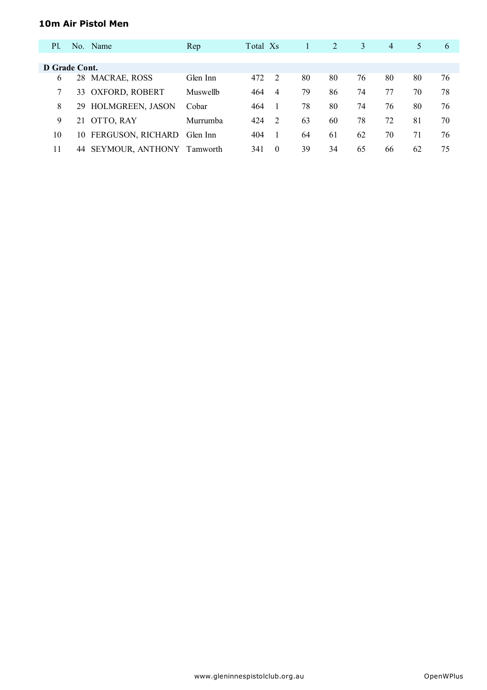### **10m Air Pistol Men**

| P1.           |    | No. Name                | Rep      | Total Xs |                |    | 2  | 3  | $\overline{4}$ | 5  | 6  |
|---------------|----|-------------------------|----------|----------|----------------|----|----|----|----------------|----|----|
|               |    |                         |          |          |                |    |    |    |                |    |    |
| D Grade Cont. |    |                         |          |          |                |    |    |    |                |    |    |
| 6             |    | 28 MACRAE, ROSS         | Glen Inn | 472      | 2              | 80 | 80 | 76 | 80             | 80 | 76 |
| 7             |    | 33 OXFORD, ROBERT       | Muswellb | 464      | $\overline{4}$ | 79 | 86 | 74 | 77             | 70 | 78 |
| 8             |    | 29 HOLMGREEN, JASON     | Cobar    | 464      |                | 78 | 80 | 74 | 76             | 80 | 76 |
| 9             | 21 | OTTO, RAY               | Murrumba | 424      | 2              | 63 | 60 | 78 | 72             | 81 | 70 |
| 10            |    | 10 FERGUSON, RICHARD    | Glen Inn | 404      |                | 64 | 61 | 62 | 70             | 71 | 76 |
| 11            | 44 | <b>SEYMOUR, ANTHONY</b> | Tamworth | 341      | $\Omega$       | 39 | 34 | 65 | 66             | 62 | 75 |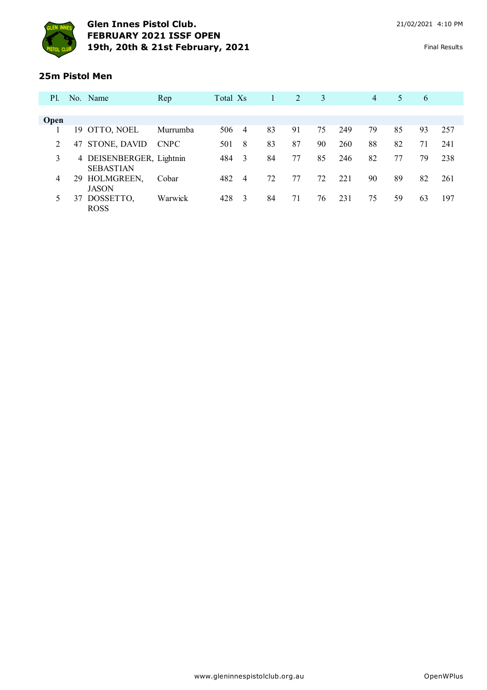

#### **25m Pistol Men**

| <b>P</b> 1. |    | No. Name                                     | Rep         | Total Xs |                | 1  | 2  | 3  |     | $\overline{4}$ | 5  | 6  |     |
|-------------|----|----------------------------------------------|-------------|----------|----------------|----|----|----|-----|----------------|----|----|-----|
|             |    |                                              |             |          |                |    |    |    |     |                |    |    |     |
| <b>Open</b> |    |                                              |             |          |                |    |    |    |     |                |    |    |     |
|             |    | 19 OTTO, NOEL                                | Murrumba    | 506      | $\overline{4}$ | 83 | 91 | 75 | 249 | 79             | 85 | 93 | 257 |
| 2           | 47 | STONE, DAVID                                 | <b>CNPC</b> | 501      | -8             | 83 | 87 | 90 | 260 | 88             | 82 | 71 | 241 |
| 3           |    | 4 DEISENBERGER, Lightnin<br><b>SEBASTIAN</b> |             | 484      | $\overline{3}$ | 84 | 77 | 85 | 246 | 82             | 77 | 79 | 238 |
| 4           | 29 | HOLMGREEN,<br><b>JASON</b>                   | Cobar       | 482      | $\overline{4}$ | 72 | 77 | 72 | 221 | 90             | 89 | 82 | 261 |
|             | 37 | DOSSETTO,<br><b>ROSS</b>                     | Warwick     | 428      | $\overline{3}$ | 84 | 71 | 76 | 231 | 75             | 59 | 63 | 197 |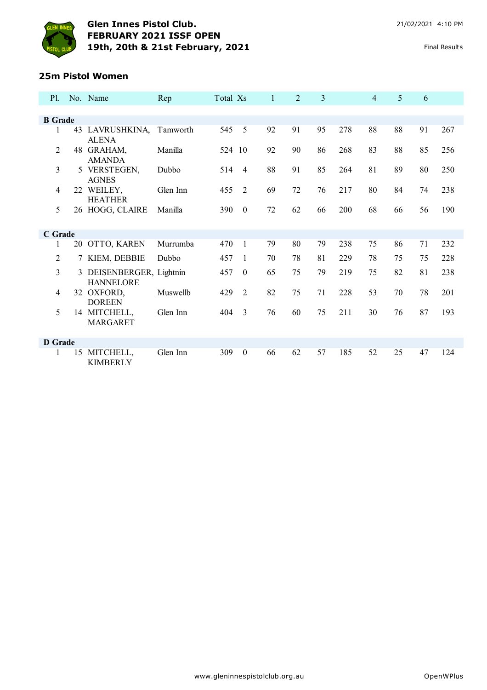

#### **25m Pistol Women**

| P1.            |    | No. Name                                     | Rep      | Total Xs |                  | $\mathbf{1}$ | 2  | 3  |     | $\overline{4}$ | 5  | 6  |     |
|----------------|----|----------------------------------------------|----------|----------|------------------|--------------|----|----|-----|----------------|----|----|-----|
|                |    |                                              |          |          |                  |              |    |    |     |                |    |    |     |
| <b>B</b> Grade |    |                                              |          |          |                  |              |    |    |     |                |    |    |     |
| 1              |    | 43 LAVRUSHKINA,<br><b>ALENA</b>              | Tamworth | 545      | 5                | 92           | 91 | 95 | 278 | 88             | 88 | 91 | 267 |
| $\overline{2}$ |    | 48 GRAHAM,<br><b>AMANDA</b>                  | Manilla  | 524 10   |                  | 92           | 90 | 86 | 268 | 83             | 88 | 85 | 256 |
| 3              |    | 5 VERSTEGEN,<br><b>AGNES</b>                 | Dubbo    | 514      | $\overline{4}$   | 88           | 91 | 85 | 264 | 81             | 89 | 80 | 250 |
| $\overline{4}$ |    | 22 WEILEY,<br><b>HEATHER</b>                 | Glen Inn | 455      | $\overline{2}$   | 69           | 72 | 76 | 217 | 80             | 84 | 74 | 238 |
| 5              |    | 26 HOGG, CLAIRE                              | Manilla  | 390      | $\boldsymbol{0}$ | 72           | 62 | 66 | 200 | 68             | 66 | 56 | 190 |
| C Grade        |    |                                              |          |          |                  |              |    |    |     |                |    |    |     |
| 1              |    | 20 OTTO, KAREN                               | Murrumba | 470      | $\mathbf{1}$     | 79           | 80 | 79 | 238 | 75             | 86 | 71 | 232 |
|                |    |                                              |          |          |                  |              |    |    |     |                |    |    |     |
| $\overline{2}$ |    | 7 KIEM, DEBBIE                               | Dubbo    | 457      | 1                | 70           | 78 | 81 | 229 | 78             | 75 | 75 | 228 |
| 3              |    | 3 DEISENBERGER, Lightnin<br><b>HANNELORE</b> |          | 457      | $\theta$         | 65           | 75 | 79 | 219 | 75             | 82 | 81 | 238 |
| 4              |    | 32 OXFORD,<br><b>DOREEN</b>                  | Muswellb | 429      | 2                | 82           | 75 | 71 | 228 | 53             | 70 | 78 | 201 |
| 5              |    | 14 MITCHELL,<br><b>MARGARET</b>              | Glen Inn | 404      | $\overline{3}$   | 76           | 60 | 75 | 211 | 30             | 76 | 87 | 193 |
| <b>D</b> Grade |    |                                              |          |          |                  |              |    |    |     |                |    |    |     |
|                | 15 | MITCHELL,<br><b>KIMBERLY</b>                 | Glen Inn | 309      | $\boldsymbol{0}$ | 66           | 62 | 57 | 185 | 52             | 25 | 47 | 124 |